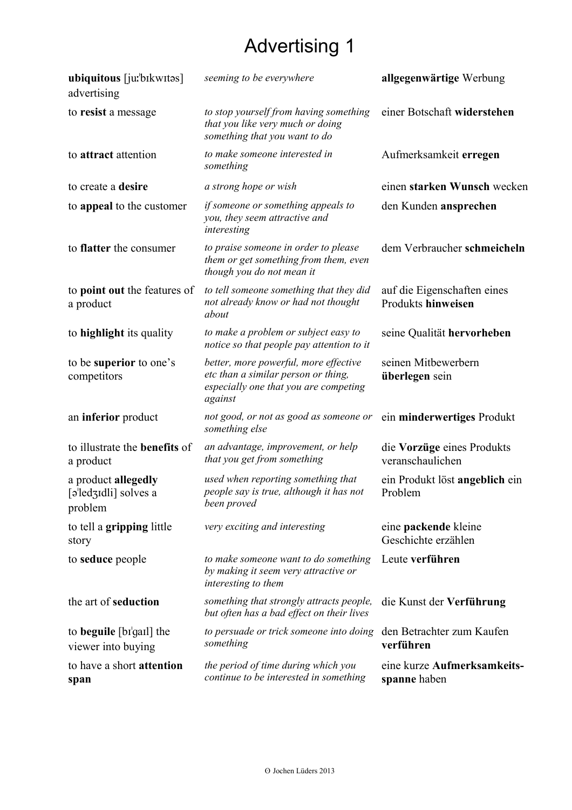## Advertising 1

| ubiquitous [jurbikwitos]<br>advertising                 | seeming to be everywhere                                                                                                         | allgegenwärtige Werbung                           |
|---------------------------------------------------------|----------------------------------------------------------------------------------------------------------------------------------|---------------------------------------------------|
| to resist a message                                     | to stop yourself from having something<br>that you like very much or doing<br>something that you want to do                      | einer Botschaft widerstehen                       |
| to attract attention                                    | to make someone interested in<br>something                                                                                       | Aufmerksamkeit erregen                            |
| to create a desire                                      | a strong hope or wish                                                                                                            | einen starken Wunsch wecken                       |
| to appeal to the customer                               | if someone or something appeals to<br>you, they seem attractive and<br>interesting                                               | den Kunden ansprechen                             |
| to <b>flatter</b> the consumer                          | to praise someone in order to please<br>them or get something from them, even<br>though you do not mean it                       | dem Verbraucher schmeicheln                       |
| to point out the features of<br>a product               | to tell someone something that they did<br>not already know or had not thought<br>about                                          | auf die Eigenschaften eines<br>Produkts hinweisen |
| to highlight its quality                                | to make a problem or subject easy to<br>notice so that people pay attention to it                                                | seine Qualität hervorheben                        |
| to be superior to one's<br>competitors                  | better, more powerful, more effective<br>etc than a similar person or thing,<br>especially one that you are competing<br>against | seinen Mitbewerbern<br>überlegen sein             |
| an inferior product                                     | not good, or not as good as someone or<br>something else                                                                         | ein minderwertiges Produkt                        |
| to illustrate the <b>benefits</b> of<br>a product       | an advantage, improvement, or help<br>that you get from something                                                                | die Vorzüge eines Produkts<br>veranschaulichen    |
| a product allegedly<br>[əˈledʒɪdli] solves a<br>problem | used when reporting something that<br>people say is true, although it has not<br>been proved                                     | ein Produkt löst angeblich ein<br>Problem         |
| to tell a gripping little<br>story                      | very exciting and interesting                                                                                                    | eine packende kleine<br>Geschichte erzählen       |
| to <b>seduce</b> people                                 | to make someone want to do something<br>by making it seem very attractive or<br>interesting to them                              | Leute verführen                                   |
| the art of seduction                                    | something that strongly attracts people,<br>but often has a bad effect on their lives                                            | die Kunst der Verführung                          |
| to <b>beguile</b> [bɪ'gaɪl] the<br>viewer into buying   | to persuade or trick someone into doing<br>something                                                                             | den Betrachter zum Kaufen<br>verführen            |
| to have a short attention<br>span                       | the period of time during which you<br>continue to be interested in something                                                    | eine kurze Aufmerksamkeits-<br>spanne haben       |